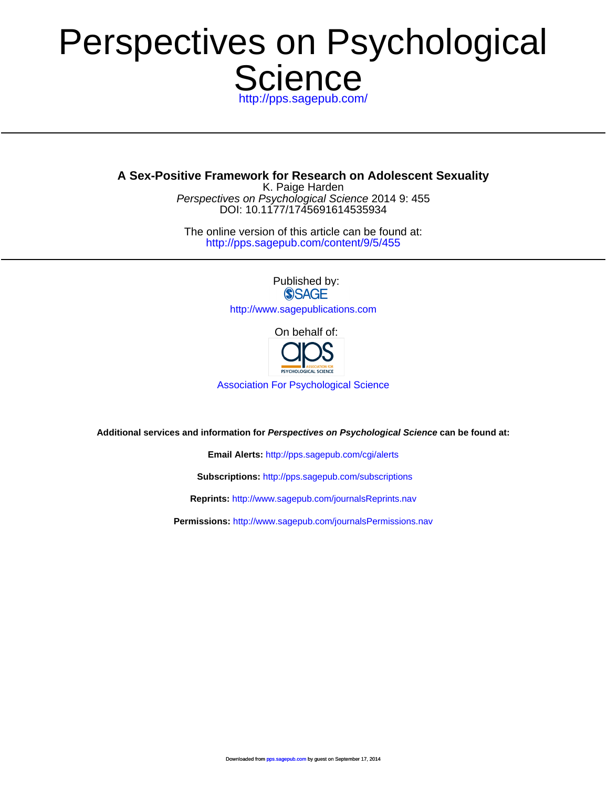# **Science** p://pps.sagepub.com/ Perspectives on Psychological

DOI: 10.1177/1745691614535934 Perspectives on Psychological Science 2014 9: 455 K. Paige Harden **A Sex-Positive Framework for Research on Adolescent Sexuality**

> <http://pps.sagepub.com/content/9/5/455> The online version of this article can be found at:

> > Published by:<br>
> > SAGE <http://www.sagepublications.com>

> > > On behalf of:



[Association For Psychological Science](http://www.psychologicalscience.org)

**Additional services and information for Perspectives on Psychological Science can be found at:**

**Email Alerts:** <http://pps.sagepub.com/cgi/alerts>

**Subscriptions:** <http://pps.sagepub.com/subscriptions>

**Reprints:** <http://www.sagepub.com/journalsReprints.nav>

**Permissions:** <http://www.sagepub.com/journalsPermissions.nav>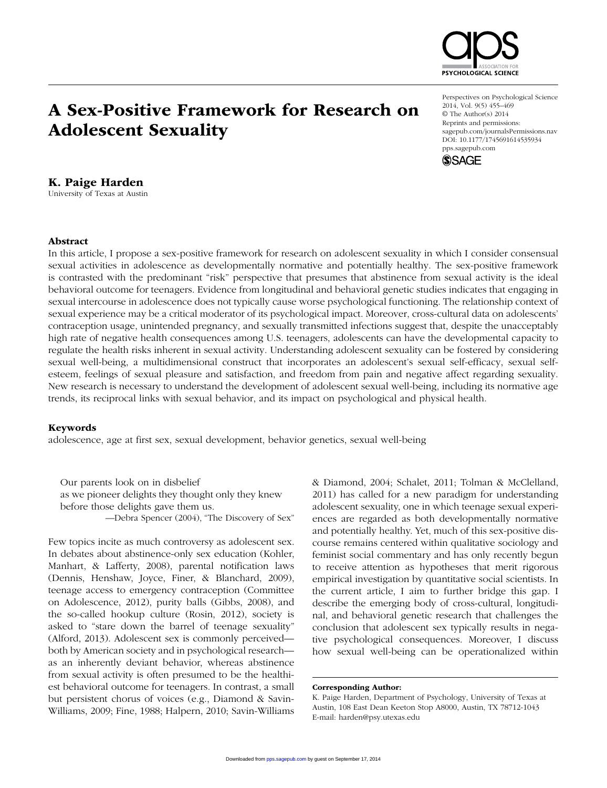# A Sex-Positive Framework for Research on Adolescent Sexuality

# K. Paige Harden

University of Texas at Austin

# SYCHOLOGICAL SCIENCI

Perspectives on Psychological Science 2014, Vol. 9(5) 455–469 © The Author(s) 2014 Reprints and permissions: sagepub.com/journalsPermissions.nav DOI: 10.1177/1745691614535934 pps.sagepub.com



#### Abstract

In this article, I propose a sex-positive framework for research on adolescent sexuality in which I consider consensual sexual activities in adolescence as developmentally normative and potentially healthy. The sex-positive framework is contrasted with the predominant "risk" perspective that presumes that abstinence from sexual activity is the ideal behavioral outcome for teenagers. Evidence from longitudinal and behavioral genetic studies indicates that engaging in sexual intercourse in adolescence does not typically cause worse psychological functioning. The relationship context of sexual experience may be a critical moderator of its psychological impact. Moreover, cross-cultural data on adolescents' contraception usage, unintended pregnancy, and sexually transmitted infections suggest that, despite the unacceptably high rate of negative health consequences among U.S. teenagers, adolescents can have the developmental capacity to regulate the health risks inherent in sexual activity. Understanding adolescent sexuality can be fostered by considering sexual well-being, a multidimensional construct that incorporates an adolescent's sexual self-efficacy, sexual selfesteem, feelings of sexual pleasure and satisfaction, and freedom from pain and negative affect regarding sexuality. New research is necessary to understand the development of adolescent sexual well-being, including its normative age trends, its reciprocal links with sexual behavior, and its impact on psychological and physical health.

#### Keywords

adolescence, age at first sex, sexual development, behavior genetics, sexual well-being

Our parents look on in disbelief

as we pioneer delights they thought only they knew

before those delights gave them us.

*—*Debra Spencer (2004), "The Discovery of Sex"

Few topics incite as much controversy as adolescent sex. In debates about abstinence-only sex education (Kohler, Manhart, & Lafferty, 2008), parental notification laws (Dennis, Henshaw, Joyce, Finer, & Blanchard, 2009), teenage access to emergency contraception (Committee on Adolescence, 2012), purity balls (Gibbs, 2008), and the so-called hookup culture (Rosin, 2012), society is asked to "stare down the barrel of teenage sexuality" (Alford, 2013). Adolescent sex is commonly perceived both by American society and in psychological research as an inherently deviant behavior, whereas abstinence from sexual activity is often presumed to be the healthiest behavioral outcome for teenagers. In contrast, a small but persistent chorus of voices (e.g., Diamond & Savin-Williams, 2009; Fine, 1988; Halpern, 2010; Savin-Williams

& Diamond, 2004; Schalet, 2011; Tolman & McClelland, 2011) has called for a new paradigm for understanding adolescent sexuality, one in which teenage sexual experiences are regarded as both developmentally normative and potentially healthy. Yet, much of this sex-positive discourse remains centered within qualitative sociology and feminist social commentary and has only recently begun to receive attention as hypotheses that merit rigorous empirical investigation by quantitative social scientists. In the current article, I aim to further bridge this gap. I describe the emerging body of cross-cultural, longitudinal, and behavioral genetic research that challenges the conclusion that adolescent sex typically results in negative psychological consequences. Moreover, I discuss how sexual well-being can be operationalized within

Corresponding Author:

K. Paige Harden, Department of Psychology, University of Texas at Austin, 108 East Dean Keeton Stop A8000, Austin, TX 78712-1043 E-mail: harden@psy.utexas.edu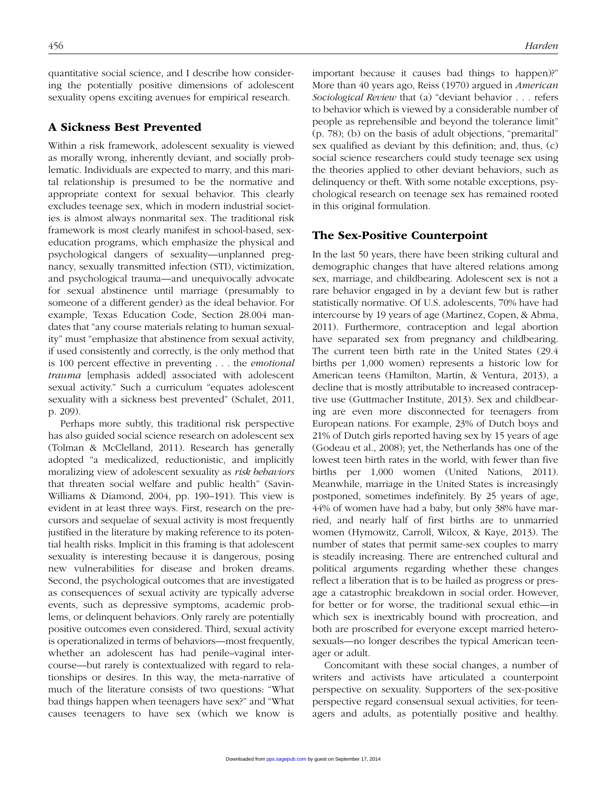quantitative social science, and I describe how considering the potentially positive dimensions of adolescent sexuality opens exciting avenues for empirical research.

### A Sickness Best Prevented

Within a risk framework, adolescent sexuality is viewed as morally wrong, inherently deviant, and socially problematic. Individuals are expected to marry, and this marital relationship is presumed to be the normative and appropriate context for sexual behavior. This clearly excludes teenage sex, which in modern industrial societies is almost always nonmarital sex. The traditional risk framework is most clearly manifest in school-based, sexeducation programs, which emphasize the physical and psychological dangers of sexuality—unplanned pregnancy, sexually transmitted infection (STI), victimization, and psychological trauma—and unequivocally advocate for sexual abstinence until marriage (presumably to someone of a different gender) as the ideal behavior. For example, Texas Education Code, Section 28.004 mandates that "any course materials relating to human sexuality" must "emphasize that abstinence from sexual activity, if used consistently and correctly, is the only method that is 100 percent effective in preventing . . . the *emotional trauma* [emphasis added] associated with adolescent sexual activity." Such a curriculum "equates adolescent sexuality with a sickness best prevented" (Schalet, 2011, p. 209).

Perhaps more subtly, this traditional risk perspective has also guided social science research on adolescent sex (Tolman & McClelland, 2011). Research has generally adopted "a medicalized, reductionistic, and implicitly moralizing view of adolescent sexuality as *risk behaviors* that threaten social welfare and public health" (Savin-Williams & Diamond, 2004, pp. 190–191). This view is evident in at least three ways. First, research on the precursors and sequelae of sexual activity is most frequently justified in the literature by making reference to its potential health risks. Implicit in this framing is that adolescent sexuality is interesting because it is dangerous, posing new vulnerabilities for disease and broken dreams. Second, the psychological outcomes that are investigated as consequences of sexual activity are typically adverse events, such as depressive symptoms, academic problems, or delinquent behaviors. Only rarely are potentially positive outcomes even considered. Third, sexual activity is operationalized in terms of behaviors—most frequently, whether an adolescent has had penile–vaginal intercourse—but rarely is contextualized with regard to relationships or desires. In this way, the meta-narrative of much of the literature consists of two questions: "What bad things happen when teenagers have sex?" and "What causes teenagers to have sex (which we know is important because it causes bad things to happen)?" More than 40 years ago, Reiss (1970) argued in *American Sociological Review* that (a) "deviant behavior . . . refers to behavior which is viewed by a considerable number of people as reprehensible and beyond the tolerance limit" (p. 78); (b) on the basis of adult objections, "premarital" sex qualified as deviant by this definition; and, thus, (c) social science researchers could study teenage sex using the theories applied to other deviant behaviors, such as delinquency or theft. With some notable exceptions, psychological research on teenage sex has remained rooted in this original formulation.

#### The Sex-Positive Counterpoint

In the last 50 years, there have been striking cultural and demographic changes that have altered relations among sex, marriage, and childbearing. Adolescent sex is not a rare behavior engaged in by a deviant few but is rather statistically normative. Of U.S. adolescents, 70% have had intercourse by 19 years of age (Martinez, Copen, & Abma, 2011). Furthermore, contraception and legal abortion have separated sex from pregnancy and childbearing. The current teen birth rate in the United States (29.4 births per 1,000 women) represents a historic low for American teens (Hamilton, Martin, & Ventura, 2013), a decline that is mostly attributable to increased contraceptive use (Guttmacher Institute, 2013). Sex and childbearing are even more disconnected for teenagers from European nations. For example, 23% of Dutch boys and 21% of Dutch girls reported having sex by 15 years of age (Godeau et al., 2008); yet, the Netherlands has one of the lowest teen birth rates in the world, with fewer than five births per 1,000 women (United Nations, 2011). Meanwhile, marriage in the United States is increasingly postponed, sometimes indefinitely. By 25 years of age, 44% of women have had a baby, but only 38% have married, and nearly half of first births are to unmarried women (Hymowitz, Carroll, Wilcox, & Kaye, 2013). The number of states that permit same-sex couples to marry is steadily increasing. There are entrenched cultural and political arguments regarding whether these changes reflect a liberation that is to be hailed as progress or presage a catastrophic breakdown in social order. However, for better or for worse, the traditional sexual ethic—in which sex is inextricably bound with procreation, and both are proscribed for everyone except married heterosexuals—no longer describes the typical American teenager or adult.

Concomitant with these social changes, a number of writers and activists have articulated a counterpoint perspective on sexuality. Supporters of the sex-positive perspective regard consensual sexual activities, for teenagers and adults, as potentially positive and healthy.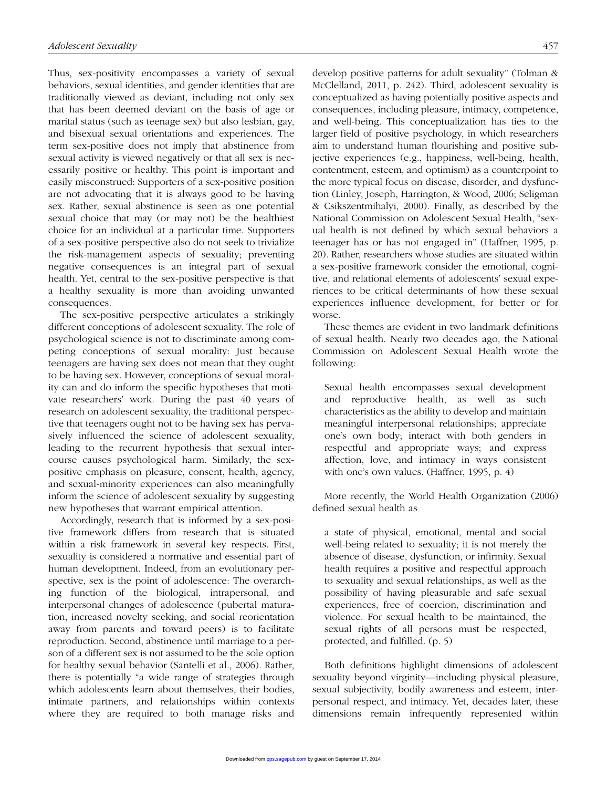Thus, sex-positivity encompasses a variety of sexual behaviors, sexual identities, and gender identities that are traditionally viewed as deviant, including not only sex that has been deemed deviant on the basis of age or marital status (such as teenage sex) but also lesbian, gay, and bisexual sexual orientations and experiences. The term sex-positive does not imply that abstinence from sexual activity is viewed negatively or that all sex is necessarily positive or healthy. This point is important and easily misconstrued: Supporters of a sex-positive position are not advocating that it is always good to be having sex. Rather, sexual abstinence is seen as one potential sexual choice that may (or may not) be the healthiest choice for an individual at a particular time. Supporters of a sex-positive perspective also do not seek to trivialize the risk-management aspects of sexuality; preventing negative consequences is an integral part of sexual health. Yet, central to the sex-positive perspective is that a healthy sexuality is more than avoiding unwanted consequences.

The sex-positive perspective articulates a strikingly different conceptions of adolescent sexuality. The role of psychological science is not to discriminate among competing conceptions of sexual morality: Just because teenagers are having sex does not mean that they ought to be having sex. However, conceptions of sexual morality can and do inform the specific hypotheses that motivate researchers' work. During the past 40 years of research on adolescent sexuality, the traditional perspective that teenagers ought not to be having sex has pervasively influenced the science of adolescent sexuality, leading to the recurrent hypothesis that sexual intercourse causes psychological harm. Similarly, the sexpositive emphasis on pleasure, consent, health, agency, and sexual-minority experiences can also meaningfully inform the science of adolescent sexuality by suggesting new hypotheses that warrant empirical attention.

Accordingly, research that is informed by a sex-positive framework differs from research that is situated within a risk framework in several key respects. First, sexuality is considered a normative and essential part of human development. Indeed, from an evolutionary perspective, sex is the point of adolescence: The overarching function of the biological, intrapersonal, and interpersonal changes of adolescence (pubertal maturation, increased novelty seeking, and social reorientation away from parents and toward peers) is to facilitate reproduction. Second, abstinence until marriage to a person of a different sex is not assumed to be the sole option for healthy sexual behavior (Santelli et al., 2006). Rather, there is potentially "a wide range of strategies through which adolescents learn about themselves, their bodies, intimate partners, and relationships within contexts where they are required to both manage risks and develop positive patterns for adult sexuality" (Tolman & McClelland, 2011, p. 242). Third, adolescent sexuality is conceptualized as having potentially positive aspects and consequences, including pleasure, intimacy, competence, and well-being. This conceptualization has ties to the larger field of positive psychology, in which researchers aim to understand human flourishing and positive subjective experiences (e.g., happiness, well-being, health, contentment, esteem, and optimism) as a counterpoint to the more typical focus on disease, disorder, and dysfunction (Linley, Joseph, Harrington, & Wood, 2006; Seligman & Csikszentmihalyi, 2000). Finally, as described by the National Commission on Adolescent Sexual Health, "sexual health is not defined by which sexual behaviors a teenager has or has not engaged in" (Haffner, 1995, p. 20). Rather, researchers whose studies are situated within a sex-positive framework consider the emotional, cognitive, and relational elements of adolescents' sexual experiences to be critical determinants of how these sexual experiences influence development, for better or for worse.

These themes are evident in two landmark definitions of sexual health. Nearly two decades ago, the National Commission on Adolescent Sexual Health wrote the following:

Sexual health encompasses sexual development and reproductive health, as well as such characteristics as the ability to develop and maintain meaningful interpersonal relationships; appreciate one's own body; interact with both genders in respectful and appropriate ways; and express affection, love, and intimacy in ways consistent with one's own values. (Haffner, 1995, p. 4)

More recently, the World Health Organization (2006) defined sexual health as

a state of physical, emotional, mental and social well-being related to sexuality; it is not merely the absence of disease, dysfunction, or infirmity. Sexual health requires a positive and respectful approach to sexuality and sexual relationships, as well as the possibility of having pleasurable and safe sexual experiences, free of coercion, discrimination and violence. For sexual health to be maintained, the sexual rights of all persons must be respected, protected, and fulfilled. (p. 5)

Both definitions highlight dimensions of adolescent sexuality beyond virginity—including physical pleasure, sexual subjectivity, bodily awareness and esteem, interpersonal respect, and intimacy. Yet, decades later, these dimensions remain infrequently represented within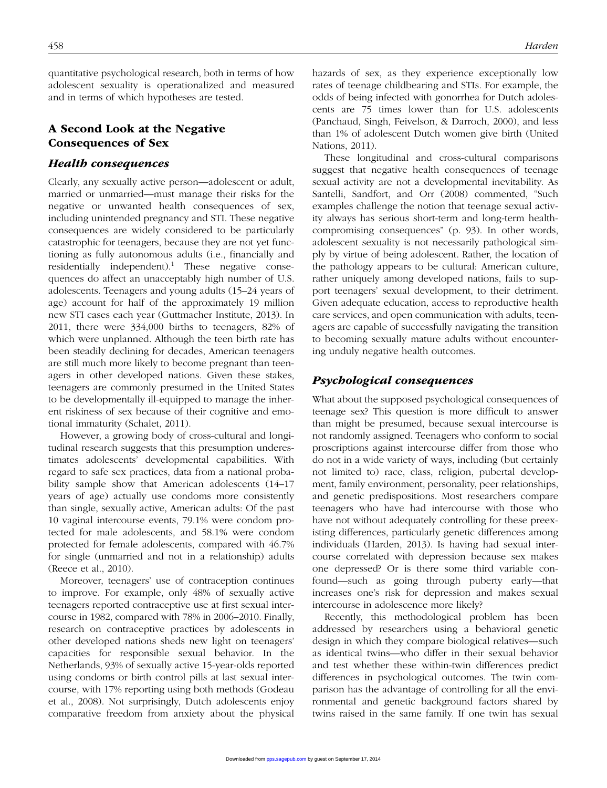quantitative psychological research, both in terms of how adolescent sexuality is operationalized and measured and in terms of which hypotheses are tested.

# A Second Look at the Negative Consequences of Sex

# *Health consequences*

Clearly, any sexually active person—adolescent or adult, married or unmarried—must manage their risks for the negative or unwanted health consequences of sex, including unintended pregnancy and STI. These negative consequences are widely considered to be particularly catastrophic for teenagers, because they are not yet functioning as fully autonomous adults (i.e., financially and residentially independent).<sup>1</sup> These negative consequences do affect an unacceptably high number of U.S. adolescents. Teenagers and young adults (15–24 years of age) account for half of the approximately 19 million new STI cases each year (Guttmacher Institute, 2013). In 2011, there were 334,000 births to teenagers, 82% of which were unplanned. Although the teen birth rate has been steadily declining for decades, American teenagers are still much more likely to become pregnant than teenagers in other developed nations. Given these stakes, teenagers are commonly presumed in the United States to be developmentally ill-equipped to manage the inherent riskiness of sex because of their cognitive and emotional immaturity (Schalet, 2011).

However, a growing body of cross-cultural and longitudinal research suggests that this presumption underestimates adolescents' developmental capabilities. With regard to safe sex practices, data from a national probability sample show that American adolescents (14–17 years of age) actually use condoms more consistently than single, sexually active, American adults: Of the past 10 vaginal intercourse events, 79.1% were condom protected for male adolescents, and 58.1% were condom protected for female adolescents, compared with 46.7% for single (unmarried and not in a relationship) adults (Reece et al., 2010).

Moreover, teenagers' use of contraception continues to improve. For example, only 48% of sexually active teenagers reported contraceptive use at first sexual intercourse in 1982, compared with 78% in 2006–2010. Finally, research on contraceptive practices by adolescents in other developed nations sheds new light on teenagers' capacities for responsible sexual behavior. In the Netherlands, 93% of sexually active 15-year-olds reported using condoms or birth control pills at last sexual intercourse, with 17% reporting using both methods (Godeau et al., 2008). Not surprisingly, Dutch adolescents enjoy comparative freedom from anxiety about the physical hazards of sex, as they experience exceptionally low rates of teenage childbearing and STIs. For example, the odds of being infected with gonorrhea for Dutch adolescents are 75 times lower than for U.S. adolescents (Panchaud, Singh, Feivelson, & Darroch, 2000), and less than 1% of adolescent Dutch women give birth (United Nations, 2011).

These longitudinal and cross-cultural comparisons suggest that negative health consequences of teenage sexual activity are not a developmental inevitability. As Santelli, Sandfort, and Orr (2008) commented, "Such examples challenge the notion that teenage sexual activity always has serious short-term and long-term healthcompromising consequences" (p. 93). In other words, adolescent sexuality is not necessarily pathological simply by virtue of being adolescent. Rather, the location of the pathology appears to be cultural: American culture, rather uniquely among developed nations, fails to support teenagers' sexual development, to their detriment. Given adequate education, access to reproductive health care services, and open communication with adults, teenagers are capable of successfully navigating the transition to becoming sexually mature adults without encountering unduly negative health outcomes.

#### *Psychological consequences*

What about the supposed psychological consequences of teenage sex? This question is more difficult to answer than might be presumed, because sexual intercourse is not randomly assigned. Teenagers who conform to social proscriptions against intercourse differ from those who do not in a wide variety of ways, including (but certainly not limited to) race, class, religion, pubertal development, family environment, personality, peer relationships, and genetic predispositions. Most researchers compare teenagers who have had intercourse with those who have not without adequately controlling for these preexisting differences, particularly genetic differences among individuals (Harden, 2013). Is having had sexual intercourse correlated with depression because sex makes one depressed? Or is there some third variable confound—such as going through puberty early—that increases one's risk for depression and makes sexual intercourse in adolescence more likely?

Recently, this methodological problem has been addressed by researchers using a behavioral genetic design in which they compare biological relatives—such as identical twins—who differ in their sexual behavior and test whether these within-twin differences predict differences in psychological outcomes. The twin comparison has the advantage of controlling for all the environmental and genetic background factors shared by twins raised in the same family. If one twin has sexual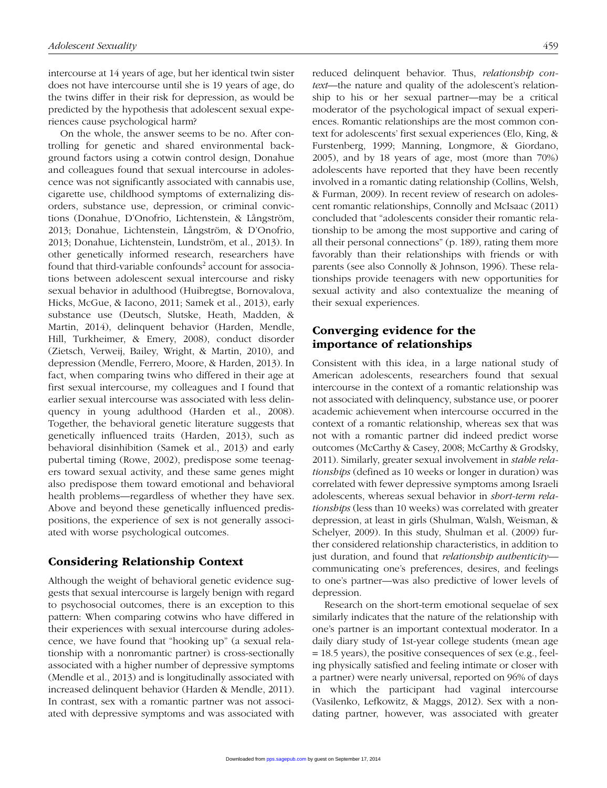intercourse at 14 years of age, but her identical twin sister does not have intercourse until she is 19 years of age, do the twins differ in their risk for depression, as would be predicted by the hypothesis that adolescent sexual experiences cause psychological harm?

On the whole, the answer seems to be no. After controlling for genetic and shared environmental background factors using a cotwin control design, Donahue and colleagues found that sexual intercourse in adolescence was not significantly associated with cannabis use, cigarette use, childhood symptoms of externalizing disorders, substance use, depression, or criminal convictions (Donahue, D'Onofrio, Lichtenstein, & Långström, 2013; Donahue, Lichtenstein, Långström, & D'Onofrio, 2013; Donahue, Lichtenstein, Lundström, et al., 2013). In other genetically informed research, researchers have found that third-variable confounds<sup>2</sup> account for associations between adolescent sexual intercourse and risky sexual behavior in adulthood (Huibregtse, Bornovalova, Hicks, McGue, & Iacono, 2011; Samek et al., 2013), early substance use (Deutsch, Slutske, Heath, Madden, & Martin, 2014), delinquent behavior (Harden, Mendle, Hill, Turkheimer, & Emery, 2008), conduct disorder (Zietsch, Verweij, Bailey, Wright, & Martin, 2010), and depression (Mendle, Ferrero, Moore, & Harden, 2013). In fact, when comparing twins who differed in their age at first sexual intercourse, my colleagues and I found that earlier sexual intercourse was associated with less delinquency in young adulthood (Harden et al., 2008). Together, the behavioral genetic literature suggests that genetically influenced traits (Harden, 2013), such as behavioral disinhibition (Samek et al., 2013) and early pubertal timing (Rowe, 2002), predispose some teenagers toward sexual activity, and these same genes might also predispose them toward emotional and behavioral health problems—regardless of whether they have sex. Above and beyond these genetically influenced predispositions, the experience of sex is not generally associated with worse psychological outcomes.

## Considering Relationship Context

Although the weight of behavioral genetic evidence suggests that sexual intercourse is largely benign with regard to psychosocial outcomes, there is an exception to this pattern: When comparing cotwins who have differed in their experiences with sexual intercourse during adolescence, we have found that "hooking up" (a sexual relationship with a nonromantic partner) is cross-sectionally associated with a higher number of depressive symptoms (Mendle et al., 2013) and is longitudinally associated with increased delinquent behavior (Harden & Mendle, 2011). In contrast, sex with a romantic partner was not associated with depressive symptoms and was associated with reduced delinquent behavior. Thus, *relationship context*—the nature and quality of the adolescent's relationship to his or her sexual partner—may be a critical moderator of the psychological impact of sexual experiences. Romantic relationships are the most common context for adolescents' first sexual experiences (Elo, King, & Furstenberg, 1999; Manning, Longmore, & Giordano, 2005), and by 18 years of age, most (more than 70%) adolescents have reported that they have been recently involved in a romantic dating relationship (Collins, Welsh, & Furman, 2009). In recent review of research on adolescent romantic relationships, Connolly and McIsaac (2011) concluded that "adolescents consider their romantic relationship to be among the most supportive and caring of all their personal connections" (p. 189), rating them more favorably than their relationships with friends or with parents (see also Connolly & Johnson, 1996). These relationships provide teenagers with new opportunities for sexual activity and also contextualize the meaning of their sexual experiences.

# Converging evidence for the importance of relationships

Consistent with this idea, in a large national study of American adolescents, researchers found that sexual intercourse in the context of a romantic relationship was not associated with delinquency, substance use, or poorer academic achievement when intercourse occurred in the context of a romantic relationship, whereas sex that was not with a romantic partner did indeed predict worse outcomes (McCarthy & Casey, 2008; McCarthy & Grodsky, 2011). Similarly, greater sexual involvement in *stable relationships* (defined as 10 weeks or longer in duration) was correlated with fewer depressive symptoms among Israeli adolescents, whereas sexual behavior in *short-term relationships* (less than 10 weeks) was correlated with greater depression, at least in girls (Shulman, Walsh, Weisman, & Schelyer, 2009). In this study, Shulman et al. (2009) further considered relationship characteristics, in addition to just duration, and found that *relationship authenticity* communicating one's preferences, desires, and feelings to one's partner—was also predictive of lower levels of depression.

Research on the short-term emotional sequelae of sex similarly indicates that the nature of the relationship with one's partner is an important contextual moderator. In a daily diary study of 1st-year college students (mean age = 18.5 years), the positive consequences of sex (e.g., feeling physically satisfied and feeling intimate or closer with a partner) were nearly universal, reported on 96% of days in which the participant had vaginal intercourse (Vasilenko, Lefkowitz, & Maggs, 2012). Sex with a nondating partner, however, was associated with greater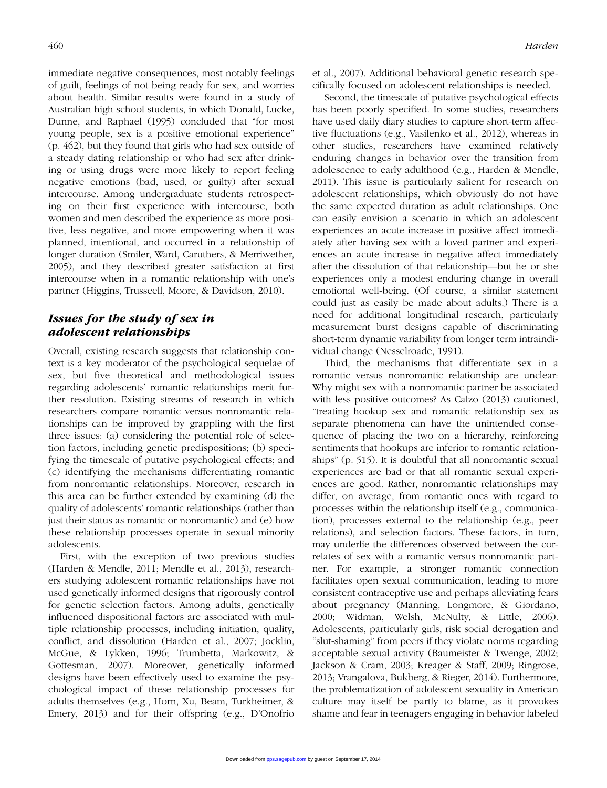immediate negative consequences, most notably feelings of guilt, feelings of not being ready for sex, and worries about health. Similar results were found in a study of Australian high school students, in which Donald, Lucke, Dunne, and Raphael (1995) concluded that "for most young people, sex is a positive emotional experience" (p. 462), but they found that girls who had sex outside of a steady dating relationship or who had sex after drinking or using drugs were more likely to report feeling negative emotions (bad, used, or guilty) after sexual intercourse. Among undergraduate students retrospecting on their first experience with intercourse, both women and men described the experience as more positive, less negative, and more empowering when it was planned, intentional, and occurred in a relationship of longer duration (Smiler, Ward, Caruthers, & Merriwether, 2005), and they described greater satisfaction at first intercourse when in a romantic relationship with one's partner (Higgins, Trusseell, Moore, & Davidson, 2010).

# *Issues for the study of sex in adolescent relationships*

Overall, existing research suggests that relationship context is a key moderator of the psychological sequelae of sex, but five theoretical and methodological issues regarding adolescents' romantic relationships merit further resolution. Existing streams of research in which researchers compare romantic versus nonromantic relationships can be improved by grappling with the first three issues: (a) considering the potential role of selection factors, including genetic predispositions; (b) specifying the timescale of putative psychological effects; and (c) identifying the mechanisms differentiating romantic from nonromantic relationships. Moreover, research in this area can be further extended by examining (d) the quality of adolescents' romantic relationships (rather than just their status as romantic or nonromantic) and (e) how these relationship processes operate in sexual minority adolescents.

First, with the exception of two previous studies (Harden & Mendle, 2011; Mendle et al., 2013), researchers studying adolescent romantic relationships have not used genetically informed designs that rigorously control for genetic selection factors. Among adults, genetically influenced dispositional factors are associated with multiple relationship processes, including initiation, quality, conflict, and dissolution (Harden et al., 2007; Jocklin, McGue, & Lykken, 1996; Trumbetta, Markowitz, & Gottesman, 2007). Moreover, genetically informed designs have been effectively used to examine the psychological impact of these relationship processes for adults themselves (e.g., Horn, Xu, Beam, Turkheimer, & Emery, 2013) and for their offspring (e.g., D'Onofrio et al., 2007). Additional behavioral genetic research specifically focused on adolescent relationships is needed.

Second, the timescale of putative psychological effects has been poorly specified. In some studies, researchers have used daily diary studies to capture short-term affective fluctuations (e.g., Vasilenko et al., 2012), whereas in other studies, researchers have examined relatively enduring changes in behavior over the transition from adolescence to early adulthood (e.g., Harden & Mendle, 2011). This issue is particularly salient for research on adolescent relationships, which obviously do not have the same expected duration as adult relationships. One can easily envision a scenario in which an adolescent experiences an acute increase in positive affect immediately after having sex with a loved partner and experiences an acute increase in negative affect immediately after the dissolution of that relationship—but he or she experiences only a modest enduring change in overall emotional well-being. (Of course, a similar statement could just as easily be made about adults.) There is a need for additional longitudinal research, particularly measurement burst designs capable of discriminating short-term dynamic variability from longer term intraindividual change (Nesselroade, 1991).

Third, the mechanisms that differentiate sex in a romantic versus nonromantic relationship are unclear: Why might sex with a nonromantic partner be associated with less positive outcomes? As Calzo (2013) cautioned, "treating hookup sex and romantic relationship sex as separate phenomena can have the unintended consequence of placing the two on a hierarchy, reinforcing sentiments that hookups are inferior to romantic relationships" (p. 515). It is doubtful that all nonromantic sexual experiences are bad or that all romantic sexual experiences are good. Rather, nonromantic relationships may differ, on average, from romantic ones with regard to processes within the relationship itself (e.g., communication), processes external to the relationship (e.g., peer relations), and selection factors. These factors, in turn, may underlie the differences observed between the correlates of sex with a romantic versus nonromantic partner. For example, a stronger romantic connection facilitates open sexual communication, leading to more consistent contraceptive use and perhaps alleviating fears about pregnancy (Manning, Longmore, & Giordano, 2000; Widman, Welsh, McNulty, & Little, 2006). Adolescents, particularly girls, risk social derogation and "slut-shaming" from peers if they violate norms regarding acceptable sexual activity (Baumeister & Twenge, 2002; Jackson & Cram, 2003; Kreager & Staff, 2009; Ringrose, 2013; Vrangalova, Bukberg, & Rieger, 2014). Furthermore, the problematization of adolescent sexuality in American culture may itself be partly to blame, as it provokes shame and fear in teenagers engaging in behavior labeled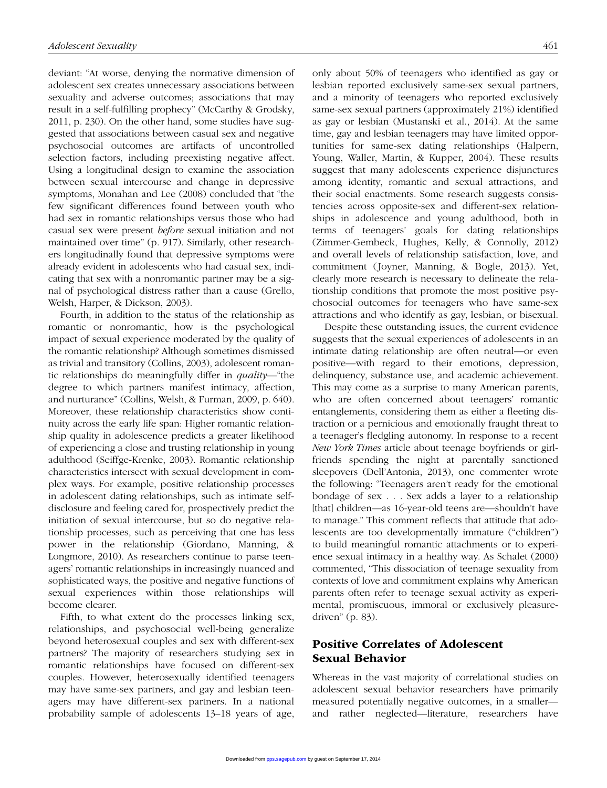deviant: "At worse, denying the normative dimension of adolescent sex creates unnecessary associations between sexuality and adverse outcomes; associations that may result in a self-fulfilling prophecy" (McCarthy & Grodsky, 2011, p. 230). On the other hand, some studies have suggested that associations between casual sex and negative psychosocial outcomes are artifacts of uncontrolled selection factors, including preexisting negative affect. Using a longitudinal design to examine the association between sexual intercourse and change in depressive symptoms, Monahan and Lee (2008) concluded that "the few significant differences found between youth who had sex in romantic relationships versus those who had casual sex were present *before* sexual initiation and not maintained over time" (p. 917). Similarly, other researchers longitudinally found that depressive symptoms were already evident in adolescents who had casual sex, indicating that sex with a nonromantic partner may be a signal of psychological distress rather than a cause (Grello, Welsh, Harper, & Dickson, 2003).

Fourth, in addition to the status of the relationship as romantic or nonromantic, how is the psychological impact of sexual experience moderated by the quality of the romantic relationship? Although sometimes dismissed as trivial and transitory (Collins, 2003), adolescent romantic relationships do meaningfully differ in *quality*—"the degree to which partners manifest intimacy, affection, and nurturance" (Collins, Welsh, & Furman, 2009, p. 640). Moreover, these relationship characteristics show continuity across the early life span: Higher romantic relationship quality in adolescence predicts a greater likelihood of experiencing a close and trusting relationship in young adulthood (Seiffge-Krenke, 2003). Romantic relationship characteristics intersect with sexual development in complex ways. For example, positive relationship processes in adolescent dating relationships, such as intimate selfdisclosure and feeling cared for, prospectively predict the initiation of sexual intercourse, but so do negative relationship processes, such as perceiving that one has less power in the relationship (Giordano, Manning, & Longmore, 2010). As researchers continue to parse teenagers' romantic relationships in increasingly nuanced and sophisticated ways, the positive and negative functions of sexual experiences within those relationships will become clearer.

Fifth, to what extent do the processes linking sex, relationships, and psychosocial well-being generalize beyond heterosexual couples and sex with different-sex partners? The majority of researchers studying sex in romantic relationships have focused on different-sex couples. However, heterosexually identified teenagers may have same-sex partners, and gay and lesbian teenagers may have different-sex partners. In a national probability sample of adolescents 13–18 years of age, only about 50% of teenagers who identified as gay or lesbian reported exclusively same-sex sexual partners, and a minority of teenagers who reported exclusively same-sex sexual partners (approximately 21%) identified as gay or lesbian (Mustanski et al., 2014). At the same time, gay and lesbian teenagers may have limited opportunities for same-sex dating relationships (Halpern, Young, Waller, Martin, & Kupper, 2004). These results suggest that many adolescents experience disjunctures among identity, romantic and sexual attractions, and their social enactments. Some research suggests consistencies across opposite-sex and different-sex relationships in adolescence and young adulthood, both in terms of teenagers' goals for dating relationships (Zimmer-Gembeck, Hughes, Kelly, & Connolly, 2012) and overall levels of relationship satisfaction, love, and commitment (Joyner, Manning, & Bogle, 2013). Yet, clearly more research is necessary to delineate the relationship conditions that promote the most positive psychosocial outcomes for teenagers who have same-sex attractions and who identify as gay, lesbian, or bisexual.

Despite these outstanding issues, the current evidence suggests that the sexual experiences of adolescents in an intimate dating relationship are often neutral—or even positive—with regard to their emotions, depression, delinquency, substance use, and academic achievement. This may come as a surprise to many American parents, who are often concerned about teenagers' romantic entanglements, considering them as either a fleeting distraction or a pernicious and emotionally fraught threat to a teenager's fledgling autonomy. In response to a recent *New York Times* article about teenage boyfriends or girlfriends spending the night at parentally sanctioned sleepovers (Dell'Antonia, 2013), one commenter wrote the following: "Teenagers aren't ready for the emotional bondage of sex . . . Sex adds a layer to a relationship [that] children—as 16-year-old teens are—shouldn't have to manage." This comment reflects that attitude that adolescents are too developmentally immature ("children") to build meaningful romantic attachments or to experience sexual intimacy in a healthy way. As Schalet (2000) commented, "This dissociation of teenage sexuality from contexts of love and commitment explains why American parents often refer to teenage sexual activity as experimental, promiscuous, immoral or exclusively pleasuredriven" (p. 83).

# Positive Correlates of Adolescent Sexual Behavior

Whereas in the vast majority of correlational studies on adolescent sexual behavior researchers have primarily measured potentially negative outcomes, in a smaller and rather neglected—literature, researchers have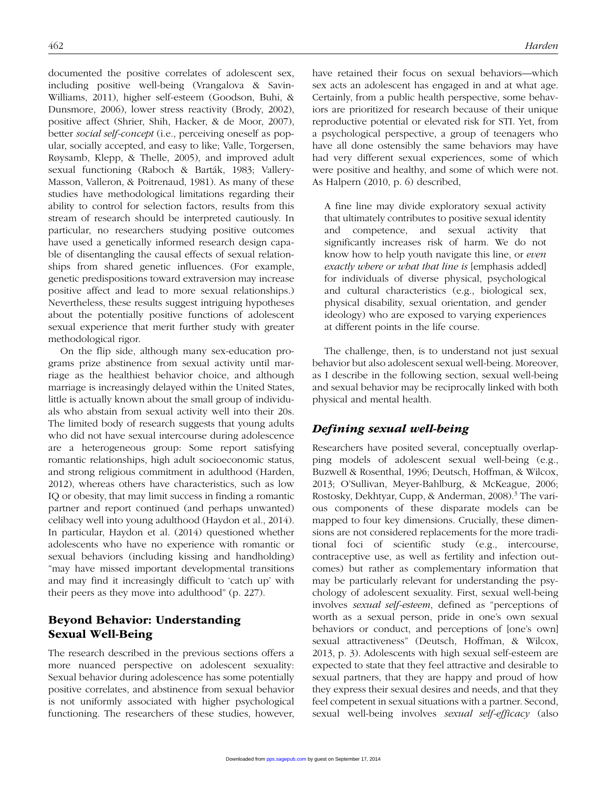documented the positive correlates of adolescent sex, including positive well-being (Vrangalova & Savin-Williams, 2011), higher self-esteem (Goodson, Buhi, & Dunsmore, 2006), lower stress reactivity (Brody, 2002), positive affect (Shrier, Shih, Hacker, & de Moor, 2007), better *social self-concept* (i.e., perceiving oneself as popular, socially accepted, and easy to like; Valle, Torgersen, Røysamb, Klepp, & Thelle, 2005), and improved adult sexual functioning (Raboch & Barták, 1983; Vallery-Masson, Valleron, & Poitrenaud, 1981). As many of these studies have methodological limitations regarding their ability to control for selection factors, results from this stream of research should be interpreted cautiously. In particular, no researchers studying positive outcomes have used a genetically informed research design capable of disentangling the causal effects of sexual relationships from shared genetic influences. (For example, genetic predispositions toward extraversion may increase positive affect and lead to more sexual relationships.) Nevertheless, these results suggest intriguing hypotheses about the potentially positive functions of adolescent sexual experience that merit further study with greater methodological rigor.

On the flip side, although many sex-education programs prize abstinence from sexual activity until marriage as the healthiest behavior choice, and although marriage is increasingly delayed within the United States, little is actually known about the small group of individuals who abstain from sexual activity well into their 20s. The limited body of research suggests that young adults who did not have sexual intercourse during adolescence are a heterogeneous group: Some report satisfying romantic relationships, high adult socioeconomic status, and strong religious commitment in adulthood (Harden, 2012), whereas others have characteristics, such as low IQ or obesity, that may limit success in finding a romantic partner and report continued (and perhaps unwanted) celibacy well into young adulthood (Haydon et al., 2014). In particular, Haydon et al. (2014) questioned whether adolescents who have no experience with romantic or sexual behaviors (including kissing and handholding) "may have missed important developmental transitions and may find it increasingly difficult to 'catch up' with their peers as they move into adulthood" (p. 227).

# Beyond Behavior: Understanding Sexual Well-Being

The research described in the previous sections offers a more nuanced perspective on adolescent sexuality: Sexual behavior during adolescence has some potentially positive correlates, and abstinence from sexual behavior is not uniformly associated with higher psychological functioning. The researchers of these studies, however, have retained their focus on sexual behaviors—which sex acts an adolescent has engaged in and at what age. Certainly, from a public health perspective, some behaviors are prioritized for research because of their unique reproductive potential or elevated risk for STI. Yet, from a psychological perspective, a group of teenagers who have all done ostensibly the same behaviors may have had very different sexual experiences, some of which were positive and healthy, and some of which were not. As Halpern (2010, p. 6) described,

A fine line may divide exploratory sexual activity that ultimately contributes to positive sexual identity and competence, and sexual activity that significantly increases risk of harm. We do not know how to help youth navigate this line, or *even exactly where or what that line is* [emphasis added] for individuals of diverse physical, psychological and cultural characteristics (e.g., biological sex, physical disability, sexual orientation, and gender ideology) who are exposed to varying experiences at different points in the life course.

The challenge, then, is to understand not just sexual behavior but also adolescent sexual well-being. Moreover, as I describe in the following section, sexual well-being and sexual behavior may be reciprocally linked with both physical and mental health.

# *Defining sexual well-being*

Researchers have posited several, conceptually overlapping models of adolescent sexual well-being (e.g., Buzwell & Rosenthal, 1996; Deutsch, Hoffman, & Wilcox, 2013; O'Sullivan, Meyer-Bahlburg, & McKeague, 2006; Rostosky, Dekhtyar, Cupp, & Anderman, 2008).<sup>3</sup> The various components of these disparate models can be mapped to four key dimensions. Crucially, these dimensions are not considered replacements for the more traditional foci of scientific study (e.g., intercourse, contraceptive use, as well as fertility and infection outcomes) but rather as complementary information that may be particularly relevant for understanding the psychology of adolescent sexuality. First, sexual well-being involves *sexual self-esteem*, defined as "perceptions of worth as a sexual person, pride in one's own sexual behaviors or conduct, and perceptions of [one's own] sexual attractiveness" (Deutsch, Hoffman, & Wilcox, 2013, p. 3). Adolescents with high sexual self-esteem are expected to state that they feel attractive and desirable to sexual partners, that they are happy and proud of how they express their sexual desires and needs, and that they feel competent in sexual situations with a partner. Second, sexual well-being involves *sexual self-efficacy* (also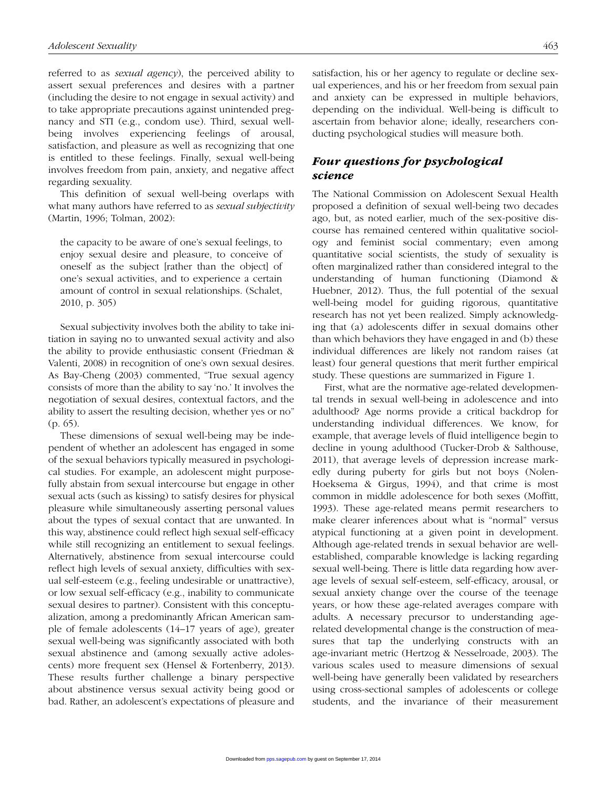referred to as *sexual agency*), the perceived ability to assert sexual preferences and desires with a partner (including the desire to not engage in sexual activity) and to take appropriate precautions against unintended pregnancy and STI (e.g., condom use). Third, sexual wellbeing involves experiencing feelings of arousal, satisfaction, and pleasure as well as recognizing that one is entitled to these feelings. Finally, sexual well-being involves freedom from pain, anxiety, and negative affect regarding sexuality.

This definition of sexual well-being overlaps with what many authors have referred to as *sexual subjectivity* (Martin, 1996; Tolman, 2002):

the capacity to be aware of one's sexual feelings, to enjoy sexual desire and pleasure, to conceive of oneself as the subject [rather than the object] of one's sexual activities, and to experience a certain amount of control in sexual relationships. (Schalet, 2010, p. 305)

Sexual subjectivity involves both the ability to take initiation in saying no to unwanted sexual activity and also the ability to provide enthusiastic consent (Friedman & Valenti, 2008) in recognition of one's own sexual desires. As Bay-Cheng (2003) commented, "True sexual agency consists of more than the ability to say 'no.' It involves the negotiation of sexual desires, contextual factors, and the ability to assert the resulting decision, whether yes or no" (p. 65).

These dimensions of sexual well-being may be independent of whether an adolescent has engaged in some of the sexual behaviors typically measured in psychological studies. For example, an adolescent might purposefully abstain from sexual intercourse but engage in other sexual acts (such as kissing) to satisfy desires for physical pleasure while simultaneously asserting personal values about the types of sexual contact that are unwanted. In this way, abstinence could reflect high sexual self-efficacy while still recognizing an entitlement to sexual feelings. Alternatively, abstinence from sexual intercourse could reflect high levels of sexual anxiety, difficulties with sexual self-esteem (e.g., feeling undesirable or unattractive), or low sexual self-efficacy (e.g., inability to communicate sexual desires to partner). Consistent with this conceptualization, among a predominantly African American sample of female adolescents (14–17 years of age), greater sexual well-being was significantly associated with both sexual abstinence and (among sexually active adolescents) more frequent sex (Hensel & Fortenberry, 2013). These results further challenge a binary perspective about abstinence versus sexual activity being good or bad. Rather, an adolescent's expectations of pleasure and satisfaction, his or her agency to regulate or decline sexual experiences, and his or her freedom from sexual pain and anxiety can be expressed in multiple behaviors, depending on the individual. Well-being is difficult to ascertain from behavior alone; ideally, researchers conducting psychological studies will measure both.

# *Four questions for psychological science*

The National Commission on Adolescent Sexual Health proposed a definition of sexual well-being two decades ago, but, as noted earlier, much of the sex-positive discourse has remained centered within qualitative sociology and feminist social commentary; even among quantitative social scientists, the study of sexuality is often marginalized rather than considered integral to the understanding of human functioning (Diamond & Huebner, 2012). Thus, the full potential of the sexual well-being model for guiding rigorous, quantitative research has not yet been realized. Simply acknowledging that (a) adolescents differ in sexual domains other than which behaviors they have engaged in and (b) these individual differences are likely not random raises (at least) four general questions that merit further empirical study. These questions are summarized in Figure 1.

First, what are the normative age-related developmental trends in sexual well-being in adolescence and into adulthood? Age norms provide a critical backdrop for understanding individual differences. We know, for example, that average levels of fluid intelligence begin to decline in young adulthood (Tucker-Drob & Salthouse, 2011), that average levels of depression increase markedly during puberty for girls but not boys (Nolen-Hoeksema & Girgus, 1994), and that crime is most common in middle adolescence for both sexes (Moffitt, 1993). These age-related means permit researchers to make clearer inferences about what is "normal" versus atypical functioning at a given point in development. Although age-related trends in sexual behavior are wellestablished, comparable knowledge is lacking regarding sexual well-being. There is little data regarding how average levels of sexual self-esteem, self-efficacy, arousal, or sexual anxiety change over the course of the teenage years, or how these age-related averages compare with adults. A necessary precursor to understanding agerelated developmental change is the construction of measures that tap the underlying constructs with an age-invariant metric (Hertzog & Nesselroade, 2003). The various scales used to measure dimensions of sexual well-being have generally been validated by researchers using cross-sectional samples of adolescents or college students, and the invariance of their measurement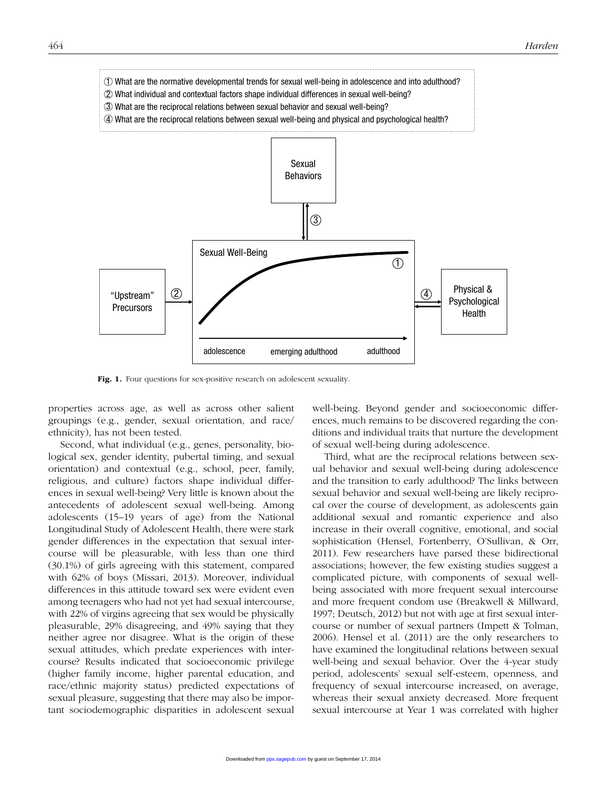

Fig. 1. Four questions for sex-positive research on adolescent sexuality.

properties across age, as well as across other salient groupings (e.g., gender, sexual orientation, and race/ ethnicity), has not been tested.

Second, what individual (e.g., genes, personality, biological sex, gender identity, pubertal timing, and sexual orientation) and contextual (e.g., school, peer, family, religious, and culture) factors shape individual differences in sexual well-being? Very little is known about the antecedents of adolescent sexual well-being. Among adolescents (15–19 years of age) from the National Longitudinal Study of Adolescent Health, there were stark gender differences in the expectation that sexual intercourse will be pleasurable, with less than one third (30.1%) of girls agreeing with this statement, compared with 62% of boys (Missari, 2013). Moreover, individual differences in this attitude toward sex were evident even among teenagers who had not yet had sexual intercourse, with 22% of virgins agreeing that sex would be physically pleasurable, 29% disagreeing, and 49% saying that they neither agree nor disagree. What is the origin of these sexual attitudes, which predate experiences with intercourse? Results indicated that socioeconomic privilege (higher family income, higher parental education, and race/ethnic majority status) predicted expectations of sexual pleasure, suggesting that there may also be important sociodemographic disparities in adolescent sexual well-being. Beyond gender and socioeconomic differences, much remains to be discovered regarding the conditions and individual traits that nurture the development of sexual well-being during adolescence.

Third, what are the reciprocal relations between sexual behavior and sexual well-being during adolescence and the transition to early adulthood? The links between sexual behavior and sexual well-being are likely reciprocal over the course of development, as adolescents gain additional sexual and romantic experience and also increase in their overall cognitive, emotional, and social sophistication (Hensel, Fortenberry, O'Sullivan, & Orr, 2011). Few researchers have parsed these bidirectional associations; however, the few existing studies suggest a complicated picture, with components of sexual wellbeing associated with more frequent sexual intercourse and more frequent condom use (Breakwell & Millward, 1997; Deutsch, 2012) but not with age at first sexual intercourse or number of sexual partners (Impett & Tolman, 2006). Hensel et al. (2011) are the only researchers to have examined the longitudinal relations between sexual well-being and sexual behavior. Over the 4-year study period, adolescents' sexual self-esteem, openness, and frequency of sexual intercourse increased, on average, whereas their sexual anxiety decreased. More frequent sexual intercourse at Year 1 was correlated with higher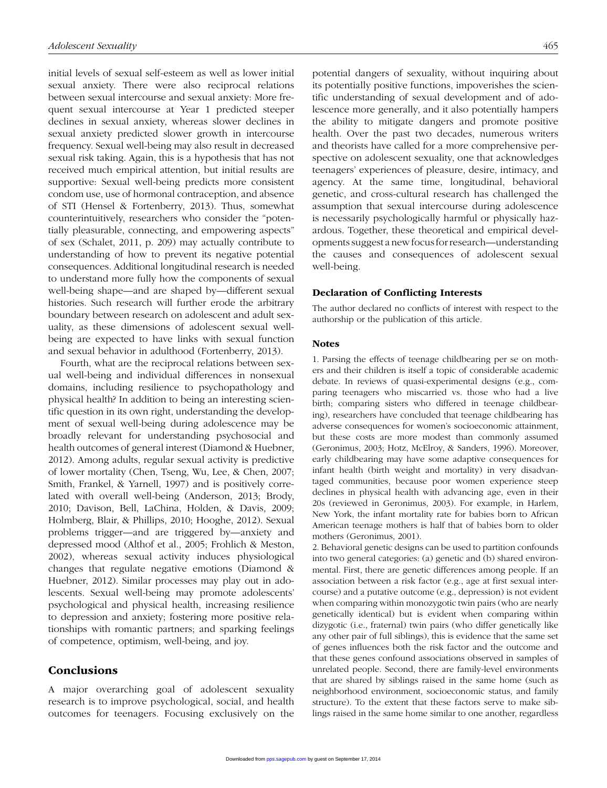initial levels of sexual self-esteem as well as lower initial sexual anxiety. There were also reciprocal relations between sexual intercourse and sexual anxiety: More frequent sexual intercourse at Year 1 predicted steeper declines in sexual anxiety, whereas slower declines in sexual anxiety predicted slower growth in intercourse frequency. Sexual well-being may also result in decreased sexual risk taking. Again, this is a hypothesis that has not received much empirical attention, but initial results are supportive: Sexual well-being predicts more consistent condom use, use of hormonal contraception, and absence of STI (Hensel & Fortenberry, 2013). Thus, somewhat counterintuitively, researchers who consider the "potentially pleasurable, connecting, and empowering aspects" of sex (Schalet, 2011, p. 209) may actually contribute to understanding of how to prevent its negative potential consequences. Additional longitudinal research is needed to understand more fully how the components of sexual well-being shape—and are shaped by—different sexual histories. Such research will further erode the arbitrary boundary between research on adolescent and adult sexuality, as these dimensions of adolescent sexual wellbeing are expected to have links with sexual function and sexual behavior in adulthood (Fortenberry, 2013).

Fourth, what are the reciprocal relations between sexual well-being and individual differences in nonsexual domains, including resilience to psychopathology and physical health? In addition to being an interesting scientific question in its own right, understanding the development of sexual well-being during adolescence may be broadly relevant for understanding psychosocial and health outcomes of general interest (Diamond & Huebner, 2012). Among adults, regular sexual activity is predictive of lower mortality (Chen, Tseng, Wu, Lee, & Chen, 2007; Smith, Frankel, & Yarnell, 1997) and is positively correlated with overall well-being (Anderson, 2013; Brody, 2010; Davison, Bell, LaChina, Holden, & Davis, 2009; Holmberg, Blair, & Phillips, 2010; Hooghe, 2012). Sexual problems trigger—and are triggered by—anxiety and depressed mood (Althof et al., 2005; Frohlich & Meston, 2002), whereas sexual activity induces physiological changes that regulate negative emotions (Diamond & Huebner, 2012). Similar processes may play out in adolescents. Sexual well-being may promote adolescents' psychological and physical health, increasing resilience to depression and anxiety; fostering more positive relationships with romantic partners; and sparking feelings of competence, optimism, well-being, and joy.

#### Conclusions

A major overarching goal of adolescent sexuality research is to improve psychological, social, and health outcomes for teenagers. Focusing exclusively on the potential dangers of sexuality, without inquiring about its potentially positive functions, impoverishes the scientific understanding of sexual development and of adolescence more generally, and it also potentially hampers the ability to mitigate dangers and promote positive health. Over the past two decades, numerous writers and theorists have called for a more comprehensive perspective on adolescent sexuality, one that acknowledges teenagers' experiences of pleasure, desire, intimacy, and agency. At the same time, longitudinal, behavioral genetic, and cross-cultural research has challenged the assumption that sexual intercourse during adolescence is necessarily psychologically harmful or physically hazardous. Together, these theoretical and empirical developments suggest a new focus for research—understanding the causes and consequences of adolescent sexual well-being.

#### Declaration of Conflicting Interests

The author declared no conflicts of interest with respect to the authorship or the publication of this article.

#### **Notes**

1. Parsing the effects of teenage childbearing per se on mothers and their children is itself a topic of considerable academic debate. In reviews of quasi-experimental designs (e.g., comparing teenagers who miscarried vs. those who had a live birth; comparing sisters who differed in teenage childbearing), researchers have concluded that teenage childbearing has adverse consequences for women's socioeconomic attainment, but these costs are more modest than commonly assumed (Geronimus, 2003; Hotz, McElroy, & Sanders, 1996). Moreover, early childbearing may have some adaptive consequences for infant health (birth weight and mortality) in very disadvantaged communities, because poor women experience steep declines in physical health with advancing age, even in their 20s (reviewed in Geronimus, 2003). For example, in Harlem, New York, the infant mortality rate for babies born to African American teenage mothers is half that of babies born to older mothers (Geronimus, 2001).

2. Behavioral genetic designs can be used to partition confounds into two general categories: (a) genetic and (b) shared environmental. First, there are genetic differences among people. If an association between a risk factor (e.g., age at first sexual intercourse) and a putative outcome (e.g., depression) is not evident when comparing within monozygotic twin pairs (who are nearly genetically identical) but is evident when comparing within dizygotic (i.e., fraternal) twin pairs (who differ genetically like any other pair of full siblings), this is evidence that the same set of genes influences both the risk factor and the outcome and that these genes confound associations observed in samples of unrelated people. Second, there are family-level environments that are shared by siblings raised in the same home (such as neighborhood environment, socioeconomic status, and family structure). To the extent that these factors serve to make siblings raised in the same home similar to one another, regardless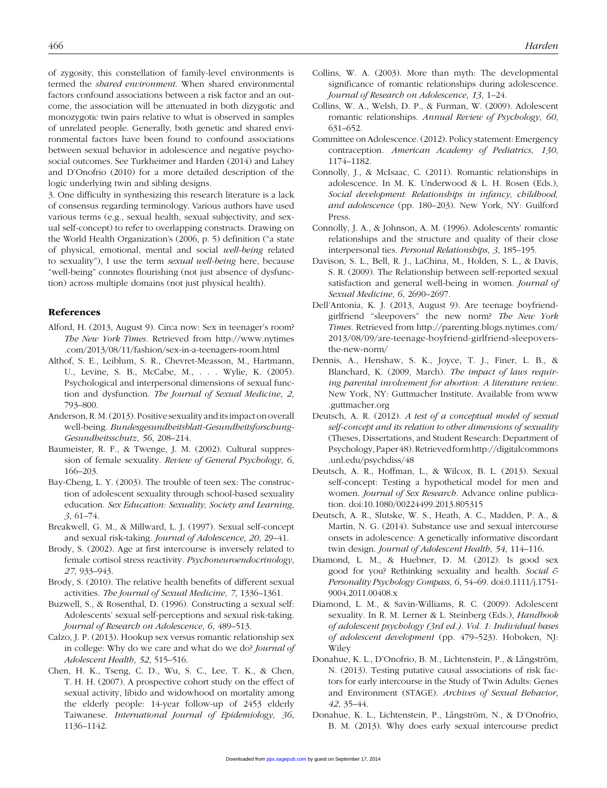of zygosity, this constellation of family-level environments is termed the *shared environment*. When shared environmental factors confound associations between a risk factor and an outcome, the association will be attenuated in both dizygotic and monozygotic twin pairs relative to what is observed in samples of unrelated people. Generally, both genetic and shared environmental factors have been found to confound associations between sexual behavior in adolescence and negative psychosocial outcomes. See Turkheimer and Harden (2014) and Lahey and D'Onofrio (2010) for a more detailed description of the logic underlying twin and sibling designs.

3. One difficulty in synthesizing this research literature is a lack of consensus regarding terminology. Various authors have used various terms (e.g., sexual health, sexual subjectivity, and sexual self-concept) to refer to overlapping constructs. Drawing on the World Health Organization's (2006, p. 5) definition ("a state of physical, emotional, mental and social *well-being* related to sexuality"), I use the term *sexual well-being* here, because "well-being" connotes flourishing (not just absence of dysfunction) across multiple domains (not just physical health).

#### References

- Alford, H. (2013, August 9). Circa now: Sex in teenager's room? *The New York Times*. Retrieved from http://www.nytimes [.com/2013/08/11/fashion/sex-in-a-teenagers-room.html](http://www.nytimes.com/2013/08/11/fashion/sex-in-a-teenagers-room.html)
- Althof, S. E., Leiblum, S. R., Chevret-Measson, M., Hartmann, U., Levine, S. B., McCabe, M., . . . Wylie, K. (2005). Psychological and interpersonal dimensions of sexual function and dysfunction. *The Journal of Sexual Medicine*, *2*, 793–800.
- Anderson, R. M. (2013). Positive sexuality and its impact on overall well-being. *Bundesgesundheitsblatt-Gesundheitsforschung-Gesundheitsschutz*, *56*, 208–214.
- Baumeister, R. F., & Twenge, J. M. (2002). Cultural suppression of female sexuality. *Review of General Psychology*, *6*, 166–203.
- Bay-Cheng, L. Y. (2003). The trouble of teen sex: The construction of adolescent sexuality through school-based sexuality education. *Sex Education: Sexuality, Society and Learning*, *3*, 61–74.
- Breakwell, G. M., & Millward, L. J. (1997). Sexual self-concept and sexual risk-taking. *Journal of Adolescence*, *20*, 29–41.
- Brody, S. (2002). Age at first intercourse is inversely related to female cortisol stress reactivity. *Psychoneuroendocrinology*, *27*, 933–943.
- Brody, S. (2010). The relative health benefits of different sexual activities. *The Journal of Sexual Medicine*, *7*, 1336–1361.
- Buzwell, S., & Rosenthal, D. (1996). Constructing a sexual self: Adolescents' sexual self-perceptions and sexual risk-taking. *Journal of Research on Adolescence*, *6*, 489–513.
- Calzo, J. P. (2013). Hookup sex versus romantic relationship sex in college: Why do we care and what do we do? *Journal of Adolescent Health*, *52*, 515–516.
- Chen, H. K., Tseng, C. D., Wu, S. C., Lee, T. K., & Chen, T. H. H. (2007). A prospective cohort study on the effect of sexual activity, libido and widowhood on mortality among the elderly people: 14-year follow-up of 2453 elderly Taiwanese. *International Journal of Epidemiology*, *36*, 1136–1142.
- Collins, W. A. (2003). More than myth: The developmental significance of romantic relationships during adolescence. *Journal of Research on Adolescence*, *13*, 1–24.
- Collins, W. A., Welsh, D. P., & Furman, W. (2009). Adolescent romantic relationships. *Annual Review of Psychology*, *60*, 631–652.
- Committee on Adolescence. (2012). Policy statement: Emergency contraception. *American Academy of Pediatrics*, *130*, 1174–1182.
- Connolly, J., & McIsaac, C. (2011). Romantic relationships in adolescence. In M. K. Underwood & L. H. Rosen (Eds.), *Social development: Relationships in infancy, childhood, and adolescence* (pp. 180–203). New York, NY: Guilford Press.
- Connolly, J. A., & Johnson, A. M. (1996). Adolescents' romantic relationships and the structure and quality of their close interpersonal ties. *Personal Relationships*, *3*, 185–195.
- Davison, S. L., Bell, R. J., LaChina, M., Holden, S. L., & Davis, S. R. (2009). The Relationship between self-reported sexual satisfaction and general well-being in women. *Journal of Sexual Medicine*, *6*, 2690–2697.
- Dell'Antonia, K. J. (2013, August 9). Are teenage boyfriendgirlfriend "sleepovers" the new norm? *The New York Times*. Retrieved from http://parenting.blogs.nytimes.com/ [2013/08/09/are-teenage-boyfriend-girlfriend-sleepovers](http://parenting.blogs.nytimes.com/2013/08/09/are-teenage-boyfriend-girlfriend-sleepoversthe-new-norm/)the-new-norm/
- Dennis, A., Henshaw, S. K., Joyce, T. J., Finer, L. B., & Blanchard, K. (2009, March). *The impact of laws requiring parental involvement for abortion: A literature review*. [New York, NY: Guttmacher Institute. Available from www](www.guttmacher.org) .guttmacher.org
- Deutsch, A. R. (2012). *A test of a conceptual model of sexual self-concept and its relation to other dimensions of sexuality* (Theses, Dissertations, and Student Research: Department of [Psychology, Paper 48\). Retrieved form http://digitalcommons](http://digitalcommons.unl.edu/psychdiss/48) .unl.edu/psychdiss/48
- Deutsch, A. R., Hoffman, L., & Wilcox, B. L. (2013). Sexual self-concept: Testing a hypothetical model for men and women. *Journal of Sex Research*. Advance online publication. doi:10.1080/00224499.2013.805315
- Deutsch, A. R., Slutske, W. S., Heath, A. C., Madden, P. A., & Martin, N. G. (2014). Substance use and sexual intercourse onsets in adolescence: A genetically informative discordant twin design. *Journal of Adolescent Health*, *54*, 114–116.
- Diamond, L. M., & Huebner, D. M. (2012). Is good sex good for you? Rethinking sexuality and health. *Social & Personality Psychology Compass*, *6*, 54–69. doi:0.1111/j.1751- 9004.2011.00408.x
- Diamond, L. M., & Savin-Williams, R. C. (2009). Adolescent sexuality. In R. M. Lerner & L. Steinberg (Eds.), *Handbook of adolescent psychology (3rd ed.). Vol. 1: Individual bases of adolescent development* (pp. 479–523). Hoboken, NJ: Wiley
- Donahue, K. L., D'Onofrio, B. M., Lichtenstein, P., & Långström, N. (2013). Testing putative causal associations of risk factors for early intercourse in the Study of Twin Adults: Genes and Environment (STAGE). *Archives of Sexual Behavior*, *42*, 35–44.
- Donahue, K. L., Lichtenstein, P., Långström, N., & D'Onofrio, B. M. (2013). Why does early sexual intercourse predict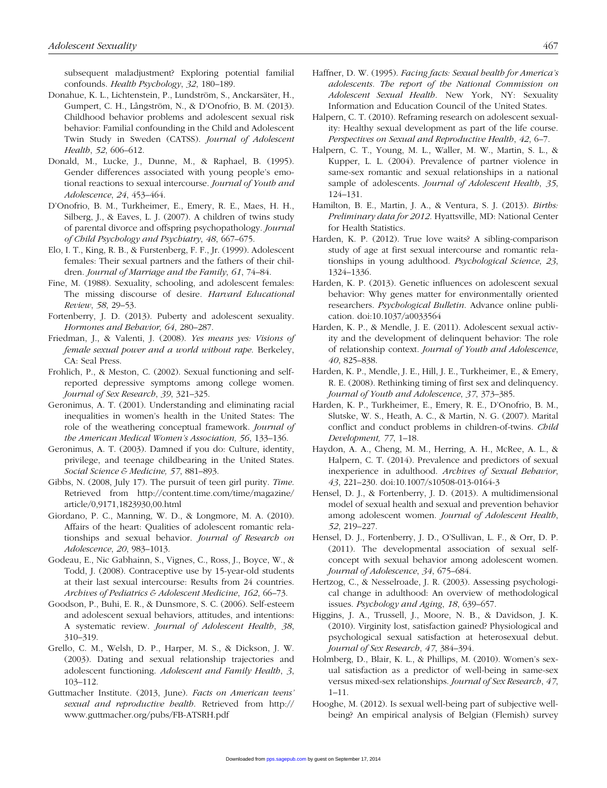subsequent maladjustment? Exploring potential familial confounds. *Health Psychology*, *32*, 180–189.

- Donahue, K. L., Lichtenstein, P., Lundström, S., Anckarsäter, H., Gumpert, C. H., Långström, N., & D'Onofrio, B. M. (2013). Childhood behavior problems and adolescent sexual risk behavior: Familial confounding in the Child and Adolescent Twin Study in Sweden (CATSS). *Journal of Adolescent Health*, *52*, 606–612.
- Donald, M., Lucke, J., Dunne, M., & Raphael, B. (1995). Gender differences associated with young people's emotional reactions to sexual intercourse. *Journal of Youth and Adolescence*, *24*, 453–464.
- D'Onofrio, B. M., Turkheimer, E., Emery, R. E., Maes, H. H., Silberg, J., & Eaves, L. J. (2007). A children of twins study of parental divorce and offspring psychopathology. *Journal of Child Psychology and Psychiatry*, *48*, 667–675.
- Elo, I. T., King, R. B., & Furstenberg, F. F., Jr. (1999). Adolescent females: Their sexual partners and the fathers of their children. *Journal of Marriage and the Family*, *61*, 74–84.
- Fine, M. (1988). Sexuality, schooling, and adolescent females: The missing discourse of desire. *Harvard Educational Review*, *58*, 29–53.
- Fortenberry, J. D. (2013). Puberty and adolescent sexuality. *Hormones and Behavior, 64*, 280–287.
- Friedman, J., & Valenti, J. (2008). *Yes means yes: Visions of female sexual power and a world without rape*. Berkeley, CA: Seal Press.
- Frohlich, P., & Meston, C. (2002). Sexual functioning and selfreported depressive symptoms among college women. *Journal of Sex Research*, *39*, 321–325.
- Geronimus, A. T. (2001). Understanding and eliminating racial inequalities in women's health in the United States: The role of the weathering conceptual framework. *Journal of the American Medical Women's Association, 56*, 133–136.
- Geronimus, A. T. (2003). Damned if you do: Culture, identity, privilege, and teenage childbearing in the United States. *Social Science & Medicine, 57*, 881–893.
- Gibbs, N. (2008, July 17). The pursuit of teen girl purity. *Time*. [Retrieved from http://content.time.com/time/magazine/](http://content.time.com/time/magazine/article/0,9171,1823930,00.html) article/0,9171,1823930,00.html
- Giordano, P. C., Manning, W. D., & Longmore, M. A. (2010). Affairs of the heart: Qualities of adolescent romantic relationships and sexual behavior. *Journal of Research on Adolescence*, *20*, 983–1013.
- Godeau, E., Nic Gabhainn, S., Vignes, C., Ross, J., Boyce, W., & Todd, J. (2008). Contraceptive use by 15-year-old students at their last sexual intercourse: Results from 24 countries. *Archives of Pediatrics & Adolescent Medicine*, *162*, 66–73.
- Goodson, P., Buhi, E. R., & Dunsmore, S. C. (2006). Self-esteem and adolescent sexual behaviors, attitudes, and intentions: A systematic review. *Journal of Adolescent Health*, *38*, 310–319.
- Grello, C. M., Welsh, D. P., Harper, M. S., & Dickson, J. W. (2003). Dating and sexual relationship trajectories and adolescent functioning. *Adolescent and Family Health*, *3*, 103–112.
- Guttmacher Institute. (2013, June). *Facts on American teens' sexual and reproductive health*. Retrieved from http:// www.guttmacher.org/pubs/FB-ATSRH.pdf
- Haffner, D. W. (1995). *Facing facts: Sexual health for America's adolescents. The report of the National Commission on Adolescent Sexual Health*. New York, NY: Sexuality Information and Education Council of the United States.
- Halpern, C. T. (2010). Reframing research on adolescent sexuality: Healthy sexual development as part of the life course. *Perspectives on Sexual and Reproductive Health*, *42*, 6–7.
- Halpern, C. T., Young, M. L., Waller, M. W., Martin, S. L., & Kupper, L. L. (2004). Prevalence of partner violence in same-sex romantic and sexual relationships in a national sample of adolescents. *Journal of Adolescent Health*, *35*, 124–131.
- Hamilton, B. E., Martin, J. A., & Ventura, S. J. (2013). *Births: Preliminary data for 2012*. Hyattsville, MD: National Center for Health Statistics.
- Harden, K. P. (2012). True love waits? A sibling-comparison study of age at first sexual intercourse and romantic relationships in young adulthood. *Psychological Science*, *23*, 1324–1336.
- Harden, K. P. (2013). Genetic influences on adolescent sexual behavior: Why genes matter for environmentally oriented researchers. *Psychological Bulletin*. Advance online publication. doi:10.1037/a0033564
- Harden, K. P., & Mendle, J. E. (2011). Adolescent sexual activity and the development of delinquent behavior: The role of relationship context. *Journal of Youth and Adolescence*, *40*, 825–838.
- Harden, K. P., Mendle, J. E., Hill, J. E., Turkheimer, E., & Emery, R. E. (2008). Rethinking timing of first sex and delinquency. *Journal of Youth and Adolescence*, *37*, 373–385.
- Harden, K. P., Turkheimer, E., Emery, R. E., D'Onofrio, B. M., Slutske, W. S., Heath, A. C., & Martin, N. G. (2007). Marital conflict and conduct problems in children-of-twins. *Child Development, 77*, 1–18.
- Haydon, A. A., Cheng, M. M., Herring, A. H., McRee, A. L., & Halpern, C. T. (2014). Prevalence and predictors of sexual inexperience in adulthood. *Archives of Sexual Behavior*, *43*, 221–230. doi:10.1007/s10508-013-0164-3
- Hensel, D. J., & Fortenberry, J. D. (2013). A multidimensional model of sexual health and sexual and prevention behavior among adolescent women. *Journal of Adolescent Health*, *52*, 219–227.
- Hensel, D. J., Fortenberry, J. D., O'Sullivan, L. F., & Orr, D. P. (2011). The developmental association of sexual selfconcept with sexual behavior among adolescent women. *Journal of Adolescence*, *34*, 675–684.
- Hertzog, C., & Nesselroade, J. R. (2003). Assessing psychological change in adulthood: An overview of methodological issues. *Psychology and Aging*, *18*, 639–657.
- Higgins, J. A., Trussell, J., Moore, N. B., & Davidson, J. K. (2010). Virginity lost, satisfaction gained? Physiological and psychological sexual satisfaction at heterosexual debut. *Journal of Sex Research*, *47*, 384–394.
- Holmberg, D., Blair, K. L., & Phillips, M. (2010). Women's sexual satisfaction as a predictor of well-being in same-sex versus mixed-sex relationships. *Journal of Sex Research*, *47*, 1–11.
- Hooghe, M. (2012). Is sexual well-being part of subjective wellbeing? An empirical analysis of Belgian (Flemish) survey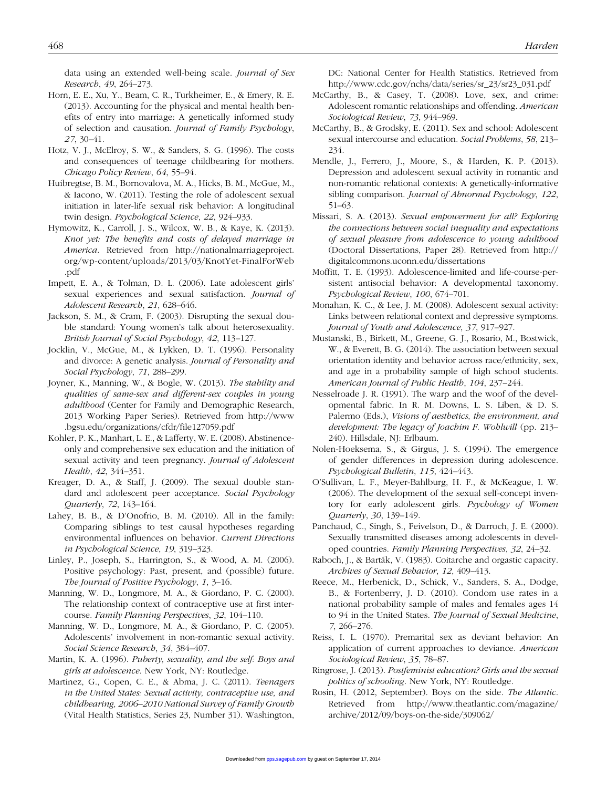data using an extended well-being scale. *Journal of Sex Research*, *49*, 264–273.

- Horn, E. E., Xu, Y., Beam, C. R., Turkheimer, E., & Emery, R. E. (2013). Accounting for the physical and mental health benefits of entry into marriage: A genetically informed study of selection and causation. *Journal of Family Psychology*, *27*, 30–41.
- Hotz, V. J., McElroy, S. W., & Sanders, S. G. (1996). The costs and consequences of teenage childbearing for mothers. *Chicago Policy Review*, *64*, 55–94.
- Huibregtse, B. M., Bornovalova, M. A., Hicks, B. M., McGue, M., & Iacono, W. (2011). Testing the role of adolescent sexual initiation in later-life sexual risk behavior: A longitudinal twin design. *Psychological Science*, *22*, 924–933.
- Hymowitz, K., Carroll, J. S., Wilcox, W. B., & Kaye, K. (2013). *Knot yet: The benefits and costs of delayed marriage in America*. Retrieved from http://nationalmarriageproject. [org/wp-content/uploads/2013/03/KnotYet-FinalForWeb](http://nationalmarriageproject.org/wp-content/uploads/2013/03/KnotYet-FinalForWeb.pdf) .pdf
- Impett, E. A., & Tolman, D. L. (2006). Late adolescent girls' sexual experiences and sexual satisfaction. *Journal of Adolescent Research*, *21*, 628–646.
- Jackson, S. M., & Cram, F. (2003). Disrupting the sexual double standard: Young women's talk about heterosexuality. *British Journal of Social Psychology*, *42*, 113–127.
- Jocklin, V., McGue, M., & Lykken, D. T. (1996). Personality and divorce: A genetic analysis. *Journal of Personality and Social Psychology*, *71*, 288–299.
- Joyner, K., Manning, W., & Bogle, W. (2013). *The stability and qualities of same-sex and different-sex couples in young adulthood* (Center for Family and Demographic Research, [2013 Working Paper Series\). Retrieved from http://www](http://www.bgsu.edu/organizations/cfdr/file127059.pdf) .bgsu.edu/organizations/cfdr/file127059.pdf
- Kohler, P. K., Manhart, L. E., & Lafferty, W. E. (2008). Abstinenceonly and comprehensive sex education and the initiation of sexual activity and teen pregnancy. *Journal of Adolescent Health*, *42*, 344–351.
- Kreager, D. A., & Staff, J. (2009). The sexual double standard and adolescent peer acceptance. *Social Psychology Quarterly*, *72*, 143–164.
- Lahey, B. B., & D'Onofrio, B. M. (2010). All in the family: Comparing siblings to test causal hypotheses regarding environmental influences on behavior. *Current Directions in Psychological Science*, *19*, 319–323.
- Linley, P., Joseph, S., Harrington, S., & Wood, A. M. (2006). Positive psychology: Past, present, and (possible) future. *The Journal of Positive Psychology*, *1*, 3–16.
- Manning, W. D., Longmore, M. A., & Giordano, P. C. (2000). The relationship context of contraceptive use at first intercourse. *Family Planning Perspectives*, *32*, 104–110.
- Manning, W. D., Longmore, M. A., & Giordano, P. C. (2005). Adolescents' involvement in non-romantic sexual activity. *Social Science Research*, *34*, 384–407.
- Martin, K. A. (1996). *Puberty, sexuality, and the self: Boys and girls at adolescence*. New York, NY: Routledge.
- Martinez, G., Copen, C. E., & Abma, J. C. (2011). *Teenagers in the United States: Sexual activity, contraceptive use, and childbearing, 2006–2010 National Survey of Family Growth* (Vital Health Statistics, Series 23, Number 31). Washington,

DC: National Center for Health Statistics. Retrieved from http://www.cdc.gov/nchs/data/series/sr\_23/sr23\_031.pdf

- McCarthy, B., & Casey, T. (2008). Love, sex, and crime: Adolescent romantic relationships and offending. *American Sociological Review*, *73*, 944–969.
- McCarthy, B., & Grodsky, E. (2011). Sex and school: Adolescent sexual intercourse and education. *Social Problems*, *58*, 213– 234.
- Mendle, J., Ferrero, J., Moore, S., & Harden, K. P. (2013). Depression and adolescent sexual activity in romantic and non-romantic relational contexts: A genetically-informative sibling comparison. *Journal of Abnormal Psychology*, *122*, 51–63.
- Missari, S. A. (2013). *Sexual empowerment for all? Exploring the connections between social inequality and expectations of sexual pleasure from adolescence to young adulthood* (Doctoral Dissertations, Paper 28). Retrieved from http:// digitalcommons.uconn.edu/dissertations
- Moffitt, T. E. (1993). Adolescence-limited and life-course-persistent antisocial behavior: A developmental taxonomy. *Psychological Review*, *100*, 674–701.
- Monahan, K. C., & Lee, J. M. (2008). Adolescent sexual activity: Links between relational context and depressive symptoms. *Journal of Youth and Adolescence*, *37*, 917–927.
- Mustanski, B., Birkett, M., Greene, G. J., Rosario, M., Bostwick, W., & Everett, B. G. (2014). The association between sexual orientation identity and behavior across race/ethnicity, sex, and age in a probability sample of high school students. *American Journal of Public Health*, *104*, 237–244.
- Nesselroade J. R. (1991). The warp and the woof of the developmental fabric. In R. M. Downs, L. S. Liben, & D. S. Palermo (Eds.), *Visions of aesthetics, the environment, and development: The legacy of Joachim F. Wohlwill* (pp. 213– 240). Hillsdale, NJ: Erlbaum.
- Nolen-Hoeksema, S., & Girgus, J. S. (1994). The emergence of gender differences in depression during adolescence. *Psychological Bulletin*, *115*, 424–443.
- O'Sullivan, L. F., Meyer-Bahlburg, H. F., & McKeague, I. W. (2006). The development of the sexual self-concept inventory for early adolescent girls. *Psychology of Women Quarterly*, *30*, 139–149.
- Panchaud, C., Singh, S., Feivelson, D., & Darroch, J. E. (2000). Sexually transmitted diseases among adolescents in developed countries. *Family Planning Perspectives*, *32*, 24–32.
- Raboch, J., & Barták, V. (1983). Coitarche and orgastic capacity. *Archives of Sexual Behavior*, *12*, 409–413.
- Reece, M., Herbenick, D., Schick, V., Sanders, S. A., Dodge, B., & Fortenberry, J. D. (2010). Condom use rates in a national probability sample of males and females ages 14 to 94 in the United States. *The Journal of Sexual Medicine*, *7*, 266–276.
- Reiss, I. L. (1970). Premarital sex as deviant behavior: An application of current approaches to deviance. *American Sociological Review*, *35*, 78–87.
- Ringrose, J. (2013). *Postfeminist education? Girls and the sexual politics of schooling*. New York, NY: Routledge.
- Rosin, H. (2012, September). Boys on the side. *The Atlantic*. [Retrieved from http://www.theatlantic.com/magazine/](http://www.theatlantic.com/magazine/archive/2012/09/boys-on-the-side/309062/) archive/2012/09/boys-on-the-side/309062/